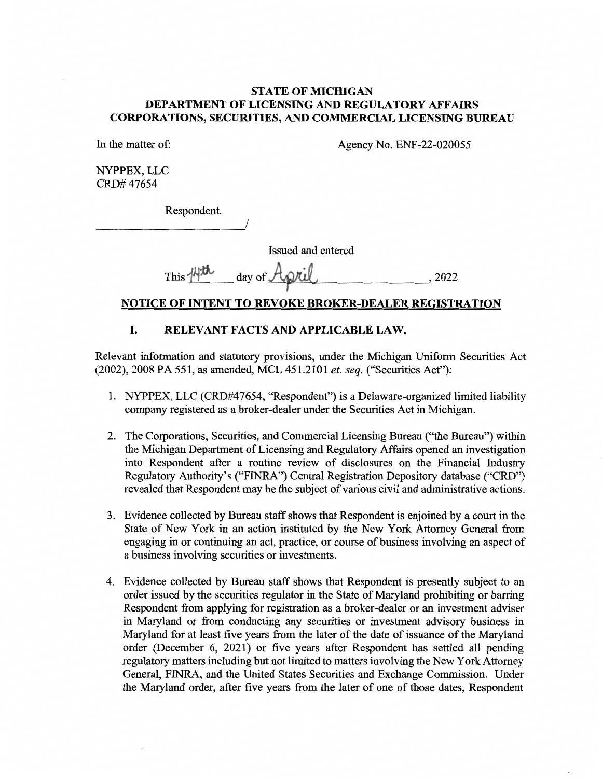## STATE OF MICHIGAN DEPARTMENT OF LICENSING AND REGULATORY AFFAIRS CORPORATIONS, SECURITIES, AND COMMERCIAL LICENSING BUREAU

In the matter of: Agency No. ENF-22-020055

NYPPEX, LLC CRD# 47654

Respondent.

Issued and entered

## This  $M^{m}$  day of  $A_{\mathcal{V}}$  due  $\ldots$ , 2022

## NOTICE OF INTENT TO REVOKE BROKER-DEALER REGISTRATION

## I. RELEVANT FACTS AND APPLICABLE LAW.

Relevant information and statutory provisions, under the Michigan Uniform Securities Act (2002), 2008 PA 551, as amended, MCL 451.2101 et. seq. ("Securities Act"):

- 1. NYPPEX, LLC (CRD#17654, "Respondent") is a Delaware-organized limited liability company registered as a broker-dealer under the Securities Act in Michigan.
- 2. The Corporations, Securities, and Commercial Licensing Bureau ("the Bureau") within the Michigan Department of Licensing and Regulatory Affairs opened an investigation into Respondent after a routine review of disclosures on the Financial Industry Regulatory Authority's ("FINRA") Central Registration Depository database ("CRD") revealed that Respondent may be the subject of various civil and administrative actions.
- 3. Evidence collected by Bureau staff shows that Respondent is enjoined by a court in the State of New York in an action instituted by the New York Attorney General from engaging in or continuing an act, practice, or course of business involving an aspect of a business involving securities or investments.
- 4. Evidence collected by Bureau staff shows that Respondent is presently subject to an order issued by the securities regulator in the State of Maryland prohibiting or barring Respondent from applying for registration as a broker-dealer or an investment adviser in Maryland or from conducting any securities or investment advisory business in Maryland for at least five years from the later of the date of issuance of the Maryland order (December 6, 2021) or five years after Respondent has settled all pending regulatory matters including but not limited to matters involving the New York Attorney General, FINRA, and the United States Securities and Exchange Commission. Under the Maryland order, after five years from the later of one of those dates, Respondent